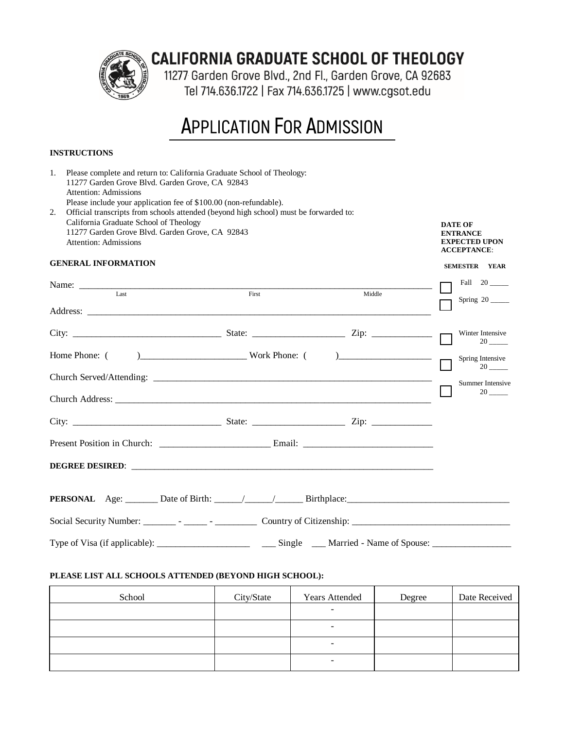

# **CALIFORNIA GRADUATE SCHOOL OF THEOLOGY**

11277 Garden Grove Blvd., 2nd Fl., Garden Grove, CA 92683 Tel 714.636.1722 | Fax 714.636.1725 | www.cgsot.edu

# **APPLICATION FOR ADMISSION**

# **INSTRUCTIONS**

| 1.<br>Please complete and return to: California Graduate School of Theology:<br>11277 Garden Grove Blvd. Garden Grove, CA 92843<br><b>Attention: Admissions</b><br>Please include your application fee of \$100.00 (non-refundable).<br>Official transcripts from schools attended (beyond high school) must be forwarded to:<br>2. |                                                                                                                    |                                                                                 |                             |                            |  |
|-------------------------------------------------------------------------------------------------------------------------------------------------------------------------------------------------------------------------------------------------------------------------------------------------------------------------------------|--------------------------------------------------------------------------------------------------------------------|---------------------------------------------------------------------------------|-----------------------------|----------------------------|--|
|                                                                                                                                                                                                                                                                                                                                     | California Graduate School of Theology<br>11277 Garden Grove Blvd. Garden Grove, CA 92843<br>Attention: Admissions | <b>DATE OF</b><br><b>ENTRANCE</b><br><b>EXPECTED UPON</b><br><b>ACCEPTANCE:</b> |                             |                            |  |
|                                                                                                                                                                                                                                                                                                                                     | <b>GENERAL INFORMATION</b>                                                                                         |                                                                                 |                             | <b>SEMESTER YEAR</b>       |  |
|                                                                                                                                                                                                                                                                                                                                     |                                                                                                                    |                                                                                 |                             | Fall 20                    |  |
|                                                                                                                                                                                                                                                                                                                                     | $I$ ast                                                                                                            | First                                                                           | Middle                      | Spring 20                  |  |
|                                                                                                                                                                                                                                                                                                                                     |                                                                                                                    |                                                                                 |                             |                            |  |
|                                                                                                                                                                                                                                                                                                                                     |                                                                                                                    |                                                                                 |                             | Winter Intensive<br>$20$ — |  |
|                                                                                                                                                                                                                                                                                                                                     | Home Phone: (                                                                                                      | $)$ Work Phone: $($ )                                                           |                             | Spring Intensive           |  |
|                                                                                                                                                                                                                                                                                                                                     |                                                                                                                    |                                                                                 |                             | Summer Intensive           |  |
|                                                                                                                                                                                                                                                                                                                                     |                                                                                                                    |                                                                                 |                             |                            |  |
|                                                                                                                                                                                                                                                                                                                                     |                                                                                                                    |                                                                                 |                             |                            |  |
|                                                                                                                                                                                                                                                                                                                                     |                                                                                                                    |                                                                                 |                             |                            |  |
|                                                                                                                                                                                                                                                                                                                                     |                                                                                                                    |                                                                                 |                             |                            |  |
|                                                                                                                                                                                                                                                                                                                                     |                                                                                                                    |                                                                                 |                             |                            |  |
|                                                                                                                                                                                                                                                                                                                                     |                                                                                                                    |                                                                                 |                             |                            |  |
|                                                                                                                                                                                                                                                                                                                                     | Type of Visa (if applicable):                                                                                      | Single                                                                          | _ Married - Name of Spouse: |                            |  |

#### **PLEASE LIST ALL SCHOOLS ATTENDED (BEYOND HIGH SCHOOL):**

| School | City/State | <b>Years Attended</b>    | Degree | Date Received |
|--------|------------|--------------------------|--------|---------------|
|        |            | $\overline{\phantom{0}}$ |        |               |
|        |            | $\overline{\phantom{a}}$ |        |               |
|        |            | $\overline{\phantom{0}}$ |        |               |
|        |            | $\overline{\phantom{a}}$ |        |               |